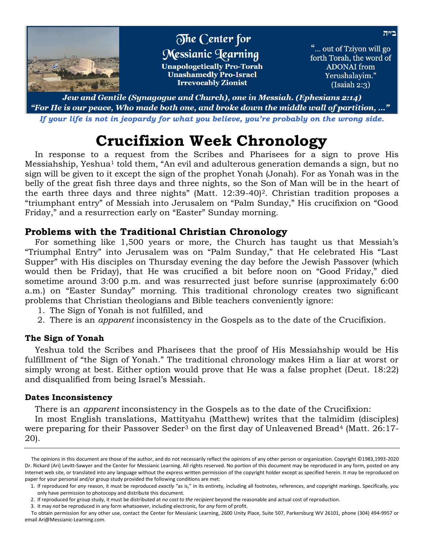

Jew and Gentile (Synagogue and Church), one in Messiah. (Ephesians 2:14) "For He is our peace, Who made both one, and broke down the middle wall of partition, …" *If your life is not in jeopardy for what you believe, you're probably on the wrong side.*

# **Crucifixion Week Chronology**

In response to a request from the Scribes and Pharisees for a sign to prove His Messiahship, Yeshua<sup>1</sup> told them, "An evil and adulterous generation demands a sign, but no sign will be given to it except the sign of the prophet Yonah (Jonah). For as Yonah was in the belly of the great fish three days and three nights, so the Son of Man will be in the heart of the earth three days and three nights" (Matt. 12:39-40)2. Christian tradition proposes a "triumphant entry" of Messiah into Jerusalem on "Palm Sunday," His crucifixion on "Good Friday," and a resurrection early on "Easter" Sunday morning.

# **Problems with the Traditional Christian Chronology**

For something like 1,500 years or more, the Church has taught us that Messiah's "Triumphal Entry" into Jerusalem was on "Palm Sunday," that He celebrated His "Last Supper" with His disciples on Thursday evening the day before the Jewish Passover (which would then be Friday), that He was crucified a bit before noon on "Good Friday," died sometime around 3:00 p.m. and was resurrected just before sunrise (approximately 6:00 a.m.) on "Easter Sunday" morning. This traditional chronology creates two significant problems that Christian theologians and Bible teachers conveniently ignore:

- 1. The Sign of Yonah is not fulfilled, and
- 2. There is an *apparent* inconsistency in the Gospels as to the date of the Crucifixion.

#### **The Sign of Yonah**

Yeshua told the Scribes and Pharisees that the proof of His Messiahship would be His fulfillment of "the Sign of Yonah." The traditional chronology makes Him a liar at worst or simply wrong at best. Either option would prove that He was a false prophet [\(Deut. 18:22\)](http://www.biblestudytools.com/cjb/deuteronomy/18-22.html) and disqualified from being Israel's Messiah.

#### **Dates Inconsistency**

There is an *apparent* inconsistency in the Gospels as to the date of the Crucifixion:

In most English translations, Mattityahu (Matthew) writes that the talmidim (disciples) were preparing for their Passover Seder<sup>3</sup> on the first day of Unleavened Bread<sup>4</sup> [\(Matt. 26:17-](http://www.biblestudytools.com/cjb/matthew/passage/?q=matthew+26:17-20) [20\)](http://www.biblestudytools.com/cjb/matthew/passage/?q=matthew+26:17-20).

The opinions in this document are those of the author, and do not necessarily reflect the opinions of any other person or organization. Copyright ©1983,1993-2020 Dr. Rickard (Ari) Levitt-Sawyer and the Center for Messianic Learning. All rights reserved. No portion of this document may be reproduced in any form, posted on any Internet web site, or translated into any language without the express written permission of the copyright holder except as specified herein. It may be reproduced on paper for your personal and/or group study provided the following conditions are met:

<sup>1.</sup> If reproduced for *any* reason, it must be reproduced *exactly* "as is," in its entirety, including all footnotes, references, and copyright markings. Specifically, you only have permission to photocopy and distribute this document.

<sup>2.</sup> If reproduced for group study, it must be distributed at *no cost to the recipient* beyond the reasonable and actual cost of reproduction.

<sup>3.</sup> It may *not* be reproduced in any form whatsoever, including electronic, for *any* form of profit.

To obtain permission for any other use, contact the Center for Messianic Learning, 2600 Unity Place, Suite 507, Parkersburg WV 26101, phone (304) 494-9957 or email Ari@Messianic-Learning.com.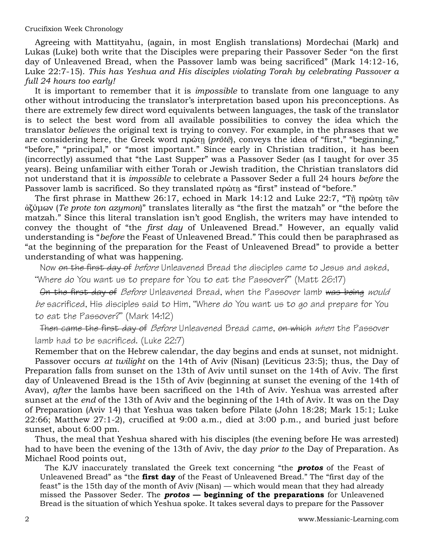Agreeing with Mattityahu, (again, in most English translations) [Mordechai](file:///D:/Documents/My%20Web%20Sites/messianic-learning.com/commentary/shliachim/gospels_acts/last_week_chronology.html) (Mark) and Lukas (Luke) both write that the Disciples were preparing their Passover Seder "on the first day of Unleavened Bread, when the Passover lamb was being sacrificed" (Mark 14:12-16, Luke 22:7-15). *This has Yeshua and His disciples violating Torah by celebrating Passover a full 24 hours too early!*

It is important to remember that it is *impossible* to translate from one language to any other without introducing the translator's interpretation based upon his preconceptions. As there are extremely few direct word equivalents between languages, the task of the translator is to select the best word from all available possibilities to convey the idea which the translator *believes* the original text is trying to convey. For example, in the phrases that we are considering here, the Greek word πρώτῃ (*prōtē*), conveys the idea of "first," "beginning," "before," "principal," or "most important." Since early in Christian tradition, it has been (incorrectly) assumed that "the Last Supper" was a Passover Seder (as I taught for over 35 years). Being unfamiliar with either Torah or Jewish tradition, the Christian translators did not understand that it is *impossible* to celebrate a Passover Seder a full 24 hours *before* the Passover lamb is sacrificed. So they translated πρώτη as "first" instead of "before."

The first phrase in Matthew 26:17, echoed in Mark 14:12 and Luke 22:7, "Τῆ πρώτη τῶν ἀζύμων (*Te prote ton azymon*)" translates literally as "the first the matzah" or "the before the matzah." Since this literal translation isn't good English, the writers may have intended to convey the thought of "the *first day* of Unleavened Bread." However, an equally valid understanding is "*before* the Feast of Unleavened Bread." This could then be paraphrased as "at the beginning of the preparation for the Feast of Unleavened Bread" to provide a better understanding of what was happening.

Now on the first day of *before* Unleavened Bread the disciples came to Jesus and asked,

"Where do You want us to prepare for You to eat the Passover?" (Matt 26:17)

On the first day of Before Unleavened Bread, when the Passover lamb was being would

be sacrificed, His disciples said to Him, "Where do You want us to go and prepare for You to eat the Passover?" (Mark 14:12)

Then came the first day of Before Unleavened Bread came, on which when the Passover lamb had to be sacrificed. (Luke 22:7)

Remember that on the Hebrew calendar, the day begins and ends at sunset, not midnight. Passover occurs *at twilight* on the 14th of Aviv (Nisan) (Leviticus 23:5); thus, the Day of Preparation falls from sunset on the 13th of Aviv until sunset on the 14th of Aviv. The first day of Unleavened Bread is the 15th of Aviv (beginning at sunset the evening of the 14th of Avav), *after* the lambs have been sacrificed on the 14th of Aviv. Yeshua was arrested after sunset at the *end* of the 13th of Aviv and the beginning of the 14th of Aviv. It was on the Day of Preparation (Aviv 14) that Yeshua was taken before Pilate (John 18:28; Mark 15:1; Luke 22:66; Matthew 27:1-2), crucified at 9:00 a.m., died at 3:00 p.m., and buried just before sunset, about 6:00 pm.

Thus, the meal that Yeshua shared with his disciples (the evening before He was arrested) had to have been the evening of the 13th of Aviv, the day *prior to* the Day of Preparation. As Michael Rood points out,

The KJV inaccurately translated the Greek text concerning "the *protos* of the Feast of Unleavened Bread" as "the **first day** of the Feast of Unleavened Bread." The "first day of the feast" is the 15th day of the month of Aviv (Nisan) — which would mean that they had already missed the Passover Seder. The *protos* **— beginning of the preparations** for Unleavened Bread is the situation of which Yeshua spoke. It takes several days to prepare for the Passover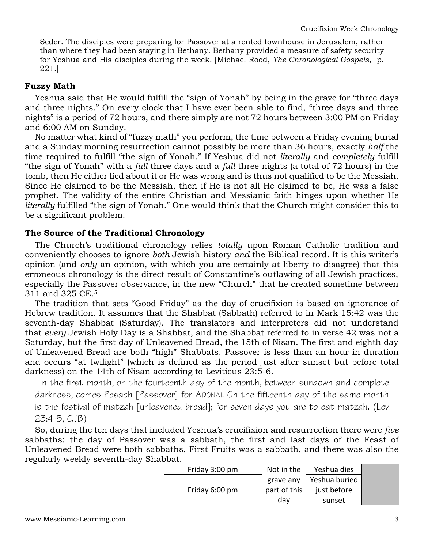Seder. The disciples were preparing for Passover at a rented townhouse in Jerusalem, rather than where they had been staying in Bethany. Bethany provided a measure of safety security for Yeshua and His disciples during the week. [Michael Rood, *[The Chronological Gospels](https://roodstore.com/collections/books-bibles)*, p. 221.]

#### **Fuzzy Math**

Yeshua said that He would fulfill the "sign of Yonah" by being in the grave for "three days and three nights." On every clock that I have ever been able to find, "three days and three nights" is a period of 72 hours, and there simply are not 72 hours between 3:00 PM on Friday and 6:00 AM on Sunday.

No matter what kind of "fuzzy math" you perform, the time between a Friday evening burial and a Sunday morning resurrection cannot possibly be more than 36 hours, exactly *half* the time required to fulfill "the sign of Yonah." If Yeshua did not *literally* and *completely* fulfill "the sign of Yonah" with a *full* three days and a *full* three nights (a total of 72 hours) in the tomb, then He either lied about it or He was wrong and is thus not qualified to be the Messiah. Since He claimed to be the Messiah, then if He is not all He claimed to be, He was a false prophet. The validity of the entire Christian and Messianic faith hinges upon whether He *literally* fulfilled "the sign of Yonah." One would think that the Church might consider this to be a significant problem.

#### **The Source of the Traditional Chronology**

The Church's traditional chronology relies *totally* upon Roman Catholic tradition and conveniently chooses to ignore *both* Jewish history *and* the Biblical record. It is this writer's opinion (and *only* an opinion, with which you are certainly at liberty to disagree) that this erroneous chronology is the direct result of Constantine's outlawing of all Jewish practices, especially the Passover observance, in the new "Church" that he created sometime between 311 and 325 CE.<sup>5</sup>

The tradition that sets "Good Friday" as the day of crucifixion is based on ignorance of Hebrew tradition. It assumes that the Shabbat (Sabbath) referred to in [Mark 15:42](http://www.biblestudytools.com/cjb/mark/15-42.html) was the seventh-day Shabbat (Saturday). The translators and interpreters did not understand that *every* Jewish Holy Day is a Shabbat, and the Shabbat referred to in verse 42 was not a Saturday, but the first day of Unleavened Bread, the 15th of Nisan. The first and eighth day of Unleavened Bread are both "high" Shabbats. Passover is less than an hour in duration and occurs "at twilight" (which is defined as the period just after sunset but before total darkness) on the 14th of Nisan according to [Leviticus 23:5-6.](http://www.biblestudytools.com/cjb/leviticus/passage/?q=leviticus+23:5-6)

In the first month, on the fourteenth day of the month, between sundown and complete darkness, comes Pesach [Passover] for ADONAI. On the fifteenth day of the same month is the festival of matzah [unleavened bread]; for seven days you are to eat matzah. (Lev 23:4-5, CJB)

So, during the ten days that included Yeshua's crucifixion and resurrection there were *five* sabbaths: the day of Passover was a sabbath, the first and last days of the Feast of Unleavened Bread were both sabbaths, First Fruits was a sabbath, and there was also the regularly weekly seventh-day Shabbat.

| .              |              |               |  |
|----------------|--------------|---------------|--|
| Friday 3:00 pm | Not in the   | Yeshua dies   |  |
|                | grave any    | Yeshua buried |  |
| Friday 6:00 pm | part of this | just before   |  |
|                | dav          | sunset        |  |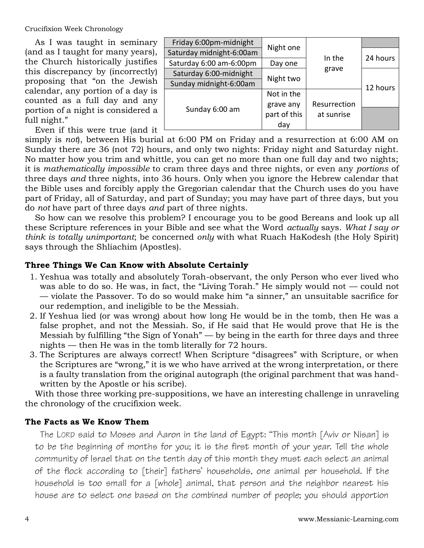As I was taught in seminary (and as I taught for many years), the Church historically justifies this discrepancy by (incorrectly) proposing that "on the Jewish calendar, any portion of a day is counted as a full day and any portion of a night is considered a full night."

Even if this were true (and it

| Friday 6:00pm-midnight   |              |              |          |
|--------------------------|--------------|--------------|----------|
| Saturday midnight-6:00am | Night one    | In the       | 24 hours |
| Saturday 6:00 am-6:00pm  | Day one      |              |          |
| Saturday 6:00-midnight   |              | grave        |          |
| Sunday midnight-6:00am   | Night two    |              | 12 hours |
|                          | Not in the   |              |          |
|                          | grave any    | Resurrection |          |
| Sunday 6:00 am           | part of this | at sunrise   |          |
|                          | day          |              |          |

simply is *not*), between His burial at 6:00 PM on Friday and a resurrection at 6:00 AM on Sunday there are 36 (not 72) hours, and only two nights: Friday night and Saturday night. No matter how you trim and whittle, you can get no more than one full day and two nights; it is *mathematically impossible* to cram three days and three nights, or even any *portions* of three days *and* three nights, into 36 hours. Only when you ignore the Hebrew calendar that the Bible uses and forcibly apply the Gregorian calendar that the Church uses do you have part of Friday, all of Saturday, and part of Sunday; you may have part of three days, but you do *not* have part of three days *and* part of three nights.

So how can we resolve this problem? I encourage you to be good Bereans and look up all these Scripture references in your Bible and see what the Word *actually* says. *What I say or think is totally unimportant*; be concerned *only* with what Ruach HaKodesh (the Holy Spirit) says through the Shliachim (Apostles).

#### **Three Things We Can Know with Absolute Certainly**

- 1. Yeshua was totally and absolutely Torah-observant, the only Person who ever lived who was able to do so. He was, in fact, the "Living Torah." He simply would not — could not — violate the Passover. To do so would make him "a sinner," an unsuitable sacrifice for our redemption, and ineligible to be the Messiah.
- 2. If Yeshua lied (or was wrong) about how long He would be in the tomb, then He was a false prophet, and not the Messiah. So, if He said that He would prove that He is the Messiah by fulfilling "the Sign of Yonah" — by being in the earth for three days and three nights — then He was in the tomb literally for 72 hours.
- 3. The Scriptures are always correct! When Scripture "disagrees" with Scripture, or when the Scriptures are "wrong," it is we who have arrived at the wrong interpretation, or there is a faulty translation from the original autograph (the original parchment that was handwritten by the Apostle or his scribe).

With those three working pre-suppositions, we have an interesting challenge in unraveling the chronology of the crucifixion week.

#### **The Facts as We Know Them**

The LORD said to Moses and Aaron in the land of Egypt: "This month [Aviv or Nisan] is to be the beginning of months for you; it is the first month of your year. Tell the whole community of Israel that on the tenth day of this month they must each select an animal of the flock according to [their] fathers' households, one animal per household. If the household is too small for a [whole] animal, that person and the neighbor nearest his house are to select one based on the combined number of people; you should apportion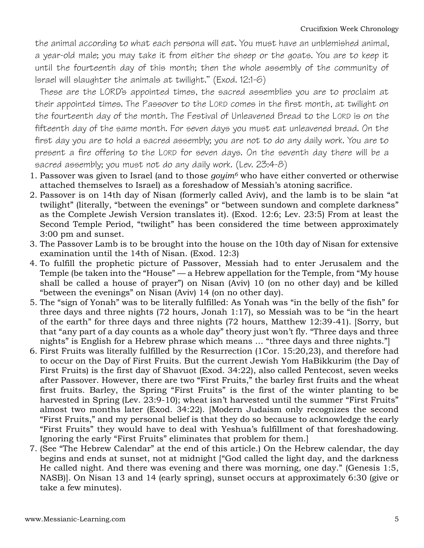the animal according to what each persona will eat. You must have an unblemished animal, a year-old male; you may take it from either the sheep or the goats. You are to keep it until the fourteenth day of this month; then the whole assembly of the community of Israel will slaughter the animals at twilight." (Exod. 12:1-6)

These are the LORD's appointed times, the sacred assemblies you are to proclaim at their appointed times. The Passover to the LORD comes in the first month, at twilight on the fourteenth day of the month. The Festival of Unleavened Bread to the LORD is on the fifteenth day of the same month. For seven days you must eat unleavened bread. On the first day you are to hold a sacred assembly; you are not to do any daily work. You are to present a fire offering to the LORD for seven days. On the seventh day there will be a sacred assembly; you must not do any daily work. (Lev. 23:4-8)

- 1. Passover was given to Israel (and to those *goyim<sup>6</sup>* who have either converted or otherwise attached themselves to Israel) as a foreshadow of Messiah's atoning sacrifice.
- 2. Passover is on 14th day of Nisan (formerly called Aviv), and the lamb is to be slain "at twilight" (literally, "between the evenings" or "between sundown and complete darkness" as the Complete Jewish Version translates it). (Exod. 12:6; Lev. 23:5) From at least the Second Temple Period, "twilight" has been considered the time between approximately 3:00 pm and sunset.
- 3. The Passover Lamb is to be brought into the house on the 10th day of Nisan for extensive examination until the 14th of Nisan. (Exod. 12:3)
- 4. To fulfill the prophetic picture of Passover, Messiah had to enter Jerusalem and the Temple (be taken into the "House" — a Hebrew appellation for the Temple, from "My house shall be called a house of prayer") on Nisan (Aviv) 10 (on no other day) and be killed "between the evenings" on Nisan (Aviv) 14 (on no other day).
- 5. The "sign of Yonah" was to be literally fulfilled: As Yonah was "in the belly of the fish" for three days and three nights (72 hours, Jonah 1:17), so Messiah was to be "in the heart of the earth" for three days and three nights (72 hours, Matthew 12:39-41). [Sorry, but that "any part of a day counts as a whole day" theory just won't fly. "Three days and three nights" is English for a Hebrew phrase which means … "three days and three nights."]
- 6. First Fruits was literally fulfilled by the Resurrection (1Cor. 15:20,23), and therefore had to occur on the Day of First Fruits. But the current Jewish Yom HaBikkurim (the Day of First Fruits) is the first day of Shavuot (Exod. 34:22), also called Pentecost, seven weeks after Passover. However, there are two "First Fruits," the barley first fruits and the wheat first fruits. Barley, the Spring "First Fruits" is the first of the winter planting to be harvested in Spring (Lev. 23:9-10); wheat isn't harvested until the summer "First Fruits" almost two months later (Exod. 34:22). [Modern Judaism only recognizes the second "First Fruits," and my personal belief is that they do so because to acknowledge the early "First Fruits" they would have to deal with Yeshua's fulfillment of that foreshadowing. Ignoring the early "First Fruits" eliminates that problem for them.]
- 7. (See "[The Hebrew Calendar](file:///D:/Documents/My%20Web%20Sites/messianic-learning.com/commentary/shliachim/gospels_acts/last_week_chronology.html%23HebrewCalendar)" at the end of this article.) On the Hebrew calendar, the day begins and ends at sunset, not at midnight ["God called the light day, and the darkness He called night. And there was evening and there was morning, one day." (Genesis 1:5, NASB)]. On Nisan 13 and 14 (early spring), sunset occurs at approximately 6:30 (give or take a few minutes).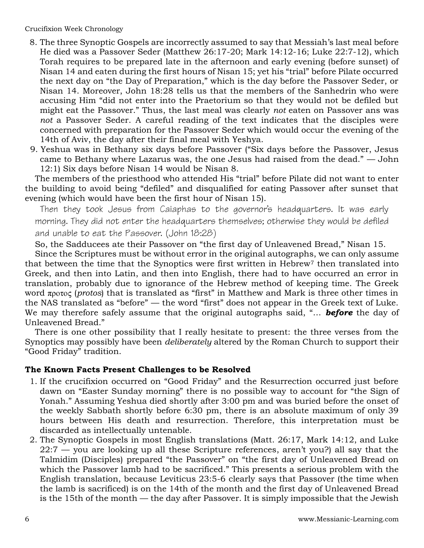- 8. The three Synoptic Gospels are incorrectly assumed to say that Messiah's last meal before He died was a Passover Seder (Matthew 26:17-20; Mark 14:12-16; Luke 22:7-12), which Torah requires to be prepared late in the afternoon and early evening (before sunset) of Nisan 14 and eaten during the first hours of Nisan 15; yet his "trial" before Pilate occurred the next day on "the Day of Preparation," which is the day before the Passover Seder, or Nisan 14. Moreover, John 18:28 tells us that the members of the Sanhedrin who were accusing Him "did not enter into the Praetorium so that they would not be defiled but might eat the Passover." Thus, the last meal was clearly *not* eaten on Passover ans was *not* a Passover Seder. A careful reading of the text indicates that the disciples were concerned with preparation for the Passover Seder which would occur the evening of the 14th of Aviv, the day after their final meal with Yeshya.
- 9. Yeshua was in Bethany six days before Passover ("Six days before the Passover, Jesus came to Bethany where Lazarus was, the one Jesus had raised from the dead." — John 12:1) Six days before Nisan 14 would be Nisan 8.

The members of the priesthood who attended His "trial" before Pilate did not want to enter the building to avoid being "defiled" and disqualified for eating Passover after sunset that evening (which would have been the first hour of Nisan 15).

Then they took Jesus from Caiaphas to the governor's headquarters. It was early morning. They did not enter the headquarters themselves; otherwise they would be defiled and unable to eat the Passover. (John 18:28)

So, the Sadducees ate their Passover on "the first day of Unleavened Bread," Nisan 15.

Since the Scriptures must be without error in the original autographs, we can only assume that between the time that the Synoptics were first written in Hebrew<sup>7</sup> then translated into Greek, and then into Latin, and then into English, there had to have occurred an error in translation, probably due to ignorance of the Hebrew method of keeping time. The Greek word προτος (*protos*) that is translated as "first" in Matthew and Mark is three other times in the NAS translated as "before" — the word "first" does not appear in the Greek text of Luke. We may therefore safely assume that the original autographs said, "… *before* the day of Unleavened Bread."

There is one other possibility that I really hesitate to present: the three verses from the Synoptics may possibly have been *deliberately* altered by the Roman Church to support their "Good Friday" tradition.

## **The Known Facts Present Challenges to be Resolved**

- 1. If the crucifixion occurred on "Good Friday" and the Resurrection occurred just before dawn on "Easter Sunday morning" there is no possible way to account for "the Sign of Yonah." Assuming Yeshua died shortly after 3:00 pm and was buried before the onset of the weekly Sabbath shortly before 6:30 pm, there is an absolute maximum of only 39 hours between His death and resurrection. Therefore, this interpretation must be discarded as intellectually untenable.
- 2. The Synoptic Gospels in most English translations (Matt. 26:17, Mark 14:12, and Luke 22:7 — you are looking up all these Scripture references, aren't you?) all say that the Talmidim (Disciples) prepared "the Passover" on "the first day of Unleavened Bread on which the Passover lamb had to be sacrificed." This presents a serious problem with the English translation, because Leviticus 23:5-6 clearly says that Passover (the time when the lamb is sacrificed) is on the 14th of the month and the first day of Unleavened Bread is the 15th of the month — the day after Passover. It is simply impossible that the Jewish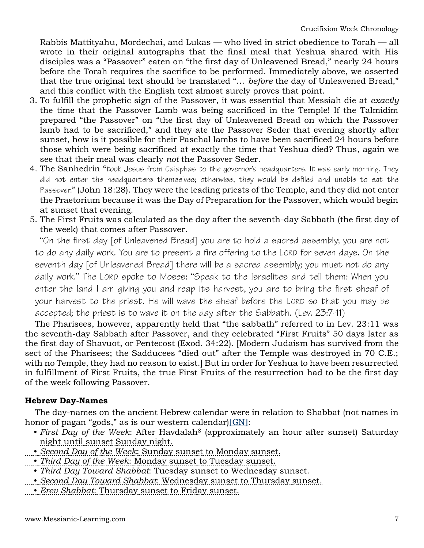Rabbis Mattityahu, Mordechai, and Lukas — who lived in strict obedience to Torah — all wrote in their original autographs that the final meal that Yeshua shared with His disciples was a "Passover" eaten on "the first day of Unleavened Bread," nearly 24 hours before the Torah requires the sacrifice to be performed. Immediately above, we asserted that the true original text should be translated "… *before* the day of Unleavened Bread," and this conflict with the English text almost surely proves that point.

- 3. To fulfill the prophetic sign of the Passover, it was essential that Messiah die at *exactly* the time that the Passover Lamb was being sacrificed in the Temple! If the Talmidim prepared "the Passover" on "the first day of Unleavened Bread on which the Passover lamb had to be sacrificed," and they ate the Passover Seder that evening shortly after sunset, how is it possible for their Paschal lambs to have been sacrificed 24 hours before those which were being sacrificed at exactly the time that Yeshua died? Thus, again we see that their meal was clearly *not* the Passover Seder.
- 4. The Sanhedrin "took Jesus from Caiaphas to the governor's headquarters. It was early morning. They did not enter the headquarters themselves; otherwise, they would be defiled and unable to eat the Passover." (John 18:28). They were the leading priests of the Temple, and they did not enter the Praetorium because it was the Day of Preparation for the Passover, which would begin at sunset that evening.
- 5. The First Fruits was calculated as the day after the seventh-day Sabbath (the first day of the week) that comes after Passover.

"On the first day [of Unleavened Bread] you are to hold a sacred assembly; you are not to do any daily work. You are to present a fire offering to the LORD for seven days. On the seventh day [of Unleavened Bread] there will be a sacred assembly; you must not do any daily work." The LORD spoke to Moses: "Speak to the Israelites and tell them: When you enter the land I am giving you and reap its harvest, you are to bring the first sheaf of your harvest to the priest. He will wave the sheaf before the LORD so that you may be accepted; the priest is to wave it on the day after the Sabbath. [\(Lev. 23:7-11\)](http://www.biblestudytools.com/csb/leviticus/passage/?q=leviticus+23:7-11)

The Pharisees, however, apparently held that "the sabbath" referred to in Lev. 23:11 was the seventh-day Sabbath after Passover, and they celebrated "First Fruits" 50 days later as the first day of Shavuot, or Pentecost (Exod. 34:22). [Modern Judaism has survived from the sect of the Pharisees; the Sadducees "died out" after the Temple was destroyed in 70 C.E.; with no Temple, they had no reason to exist.] But in order for Yeshua to have been resurrected in fulfillment of First Fruits, the true First Fruits of the resurrection had to be the first day of the week following Passover.

## **Hebrew Day-Names**

The day-names on the ancient Hebrew calendar were in relation to Shabbat (not names in honor of pagan "gods," as is our western calendar)[\[GN\]](file:///D:/Documents/My%20Web%20Sites/messianic-learning.com/commentary/global_notes.html%23DayNames):

- *First Day of the Week*: After Havdalah<sup>8</sup> (approximately an hour after sunset) Saturday night until sunset Sunday night.
- *Second Day of the Week*: Sunday sunset to Monday sunset.
- *Third Day of the Week*: Monday sunset to Tuesday sunset.
- *Third Day Toward Shabbat*: Tuesday sunset to Wednesday sunset.
- *Second Day Toward Shabbat*: Wednesday sunset to Thursday sunset.
- *Erev Shabbat*: Thursday sunset to Friday sunset.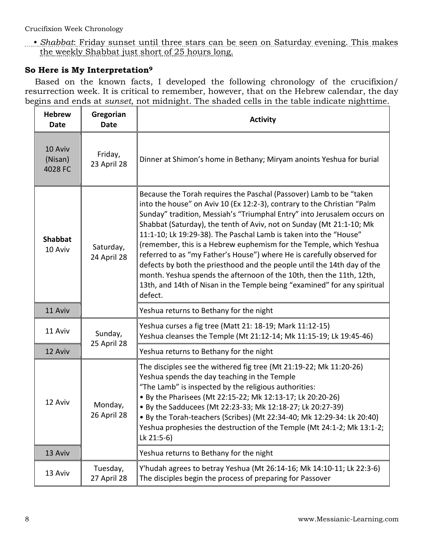• *Shabbat*: Friday sunset until three stars can be seen on Saturday evening. This makes the weekly Shabbat just short of 25 hours long.

#### **So Here is My Interpretation<sup>9</sup>**

Based on the known facts, I developed the following chronology of the crucifixion/ resurrection week. It is critical to remember, however, that on the Hebrew calendar, the day begins and ends at *sunset*, not midnight. The shaded cells in the table indicate nighttime.

| <b>Hebrew</b><br><b>Date</b>  | Gregorian<br><b>Date</b> | <b>Activity</b>                                                                                                                                                                                                                                                                                                                                                                                                                                                                                                                                                                                                                                                                                                                                                  |
|-------------------------------|--------------------------|------------------------------------------------------------------------------------------------------------------------------------------------------------------------------------------------------------------------------------------------------------------------------------------------------------------------------------------------------------------------------------------------------------------------------------------------------------------------------------------------------------------------------------------------------------------------------------------------------------------------------------------------------------------------------------------------------------------------------------------------------------------|
| 10 Aviv<br>(Nisan)<br>4028 FC | Friday,<br>23 April 28   | Dinner at Shimon's home in Bethany; Miryam anoints Yeshua for burial                                                                                                                                                                                                                                                                                                                                                                                                                                                                                                                                                                                                                                                                                             |
| <b>Shabbat</b><br>10 Aviv     | Saturday,<br>24 April 28 | Because the Torah requires the Paschal (Passover) Lamb to be "taken<br>into the house" on Aviv 10 (Ex 12:2-3), contrary to the Christian "Palm<br>Sunday" tradition, Messiah's "Triumphal Entry" into Jerusalem occurs on<br>Shabbat (Saturday), the tenth of Aviv, not on Sunday (Mt 21:1-10; Mk<br>11:1-10; Lk 19:29-38). The Paschal Lamb is taken into the "House"<br>(remember, this is a Hebrew euphemism for the Temple, which Yeshua<br>referred to as "my Father's House") where He is carefully observed for<br>defects by both the priesthood and the people until the 14th day of the<br>month. Yeshua spends the afternoon of the 10th, then the 11th, 12th,<br>13th, and 14th of Nisan in the Temple being "examined" for any spiritual<br>defect. |
| 11 Aviv                       |                          | Yeshua returns to Bethany for the night                                                                                                                                                                                                                                                                                                                                                                                                                                                                                                                                                                                                                                                                                                                          |
| 11 Aviv                       | Sunday,<br>25 April 28   | Yeshua curses a fig tree (Matt 21: 18-19; Mark 11:12-15)<br>Yeshua cleanses the Temple (Mt 21:12-14; Mk 11:15-19; Lk 19:45-46)                                                                                                                                                                                                                                                                                                                                                                                                                                                                                                                                                                                                                                   |
| 12 Aviv                       |                          | Yeshua returns to Bethany for the night                                                                                                                                                                                                                                                                                                                                                                                                                                                                                                                                                                                                                                                                                                                          |
| 12 Aviv                       | Monday,<br>26 April 28   | The disciples see the withered fig tree (Mt 21:19-22; Mk 11:20-26)<br>Yeshua spends the day teaching in the Temple<br>"The Lamb" is inspected by the religious authorities:<br>• By the Pharisees (Mt 22:15-22; Mk 12:13-17; Lk 20:20-26)<br>. By the Sadducees (Mt 22:23-33; Mk 12:18-27; Lk 20:27-39)<br>• By the Torah-teachers (Scribes) (Mt 22:34-40; Mk 12:29-34: Lk 20:40)<br>Yeshua prophesies the destruction of the Temple (Mt 24:1-2; Mk 13:1-2;<br>Lk 21:5-6)                                                                                                                                                                                                                                                                                        |
| 13 Aviv                       |                          | Yeshua returns to Bethany for the night                                                                                                                                                                                                                                                                                                                                                                                                                                                                                                                                                                                                                                                                                                                          |
| 13 Aviv                       | Tuesday,<br>27 April 28  | Y'hudah agrees to betray Yeshua (Mt 26:14-16; Mk 14:10-11; Lk 22:3-6)<br>The disciples begin the process of preparing for Passover                                                                                                                                                                                                                                                                                                                                                                                                                                                                                                                                                                                                                               |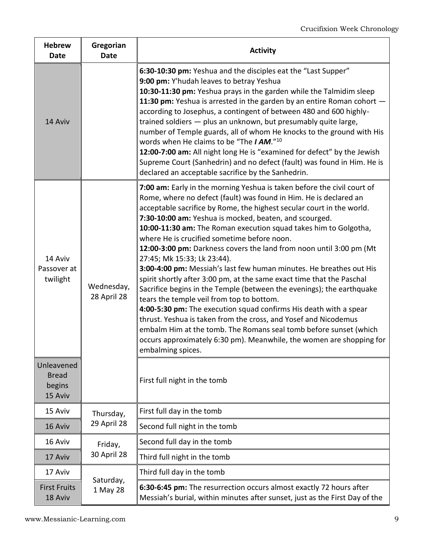| <b>Hebrew</b><br><b>Date</b>                            | Gregorian<br><b>Date</b>                                                                                                                           | <b>Activity</b>                                                                                                                                                                                                                                                                                                                                                                                                                                                                                                                                                                                                                                                                                                                                                                                                                                                                                                                                                                                                                                                                          |
|---------------------------------------------------------|----------------------------------------------------------------------------------------------------------------------------------------------------|------------------------------------------------------------------------------------------------------------------------------------------------------------------------------------------------------------------------------------------------------------------------------------------------------------------------------------------------------------------------------------------------------------------------------------------------------------------------------------------------------------------------------------------------------------------------------------------------------------------------------------------------------------------------------------------------------------------------------------------------------------------------------------------------------------------------------------------------------------------------------------------------------------------------------------------------------------------------------------------------------------------------------------------------------------------------------------------|
| 14 Aviv                                                 |                                                                                                                                                    | 6:30-10:30 pm: Yeshua and the disciples eat the "Last Supper"<br>9:00 pm: Y'hudah leaves to betray Yeshua<br>10:30-11:30 pm: Yeshua prays in the garden while the Talmidim sleep<br>11:30 pm: Yeshua is arrested in the garden by an entire Roman cohort -<br>according to Josephus, a contingent of between 480 and 600 highly-<br>trained soldiers - plus an unknown, but presumably quite large,<br>number of Temple guards, all of whom He knocks to the ground with His<br>words when He claims to be "The I AM."10<br>12:00-7:00 am: All night long He is "examined for defect" by the Jewish<br>Supreme Court (Sanhedrin) and no defect (fault) was found in Him. He is<br>declared an acceptable sacrifice by the Sanhedrin.                                                                                                                                                                                                                                                                                                                                                     |
| 14 Aviv<br>Passover at<br>twilight                      | Wednesday,<br>28 April 28                                                                                                                          | 7:00 am: Early in the morning Yeshua is taken before the civil court of<br>Rome, where no defect (fault) was found in Him. He is declared an<br>acceptable sacrifice by Rome, the highest secular court in the world.<br>7:30-10:00 am: Yeshua is mocked, beaten, and scourged.<br>10:00-11:30 am: The Roman execution squad takes him to Golgotha,<br>where He is crucified sometime before noon.<br>12:00-3:00 pm: Darkness covers the land from noon until 3:00 pm (Mt<br>27:45; Mk 15:33; Lk 23:44).<br>3:00-4:00 pm: Messiah's last few human minutes. He breathes out His<br>spirit shortly after 3:00 pm, at the same exact time that the Paschal<br>Sacrifice begins in the Temple (between the evenings); the earthquake<br>tears the temple veil from top to bottom.<br>4:00-5:30 pm: The execution squad confirms His death with a spear<br>thrust. Yeshua is taken from the cross, and Yosef and Nicodemus<br>embalm Him at the tomb. The Romans seal tomb before sunset (which<br>occurs approximately 6:30 pm). Meanwhile, the women are shopping for<br>embalming spices. |
| Unleavened<br><b>Bread</b><br>begins<br>15 Aviv         |                                                                                                                                                    | First full night in the tomb                                                                                                                                                                                                                                                                                                                                                                                                                                                                                                                                                                                                                                                                                                                                                                                                                                                                                                                                                                                                                                                             |
| 15 Aviv                                                 | Thursday,                                                                                                                                          | First full day in the tomb                                                                                                                                                                                                                                                                                                                                                                                                                                                                                                                                                                                                                                                                                                                                                                                                                                                                                                                                                                                                                                                               |
| 16 Aviv                                                 | 29 April 28                                                                                                                                        | Second full night in the tomb                                                                                                                                                                                                                                                                                                                                                                                                                                                                                                                                                                                                                                                                                                                                                                                                                                                                                                                                                                                                                                                            |
| 16 Aviv                                                 | Friday,<br><b>30 April 28</b>                                                                                                                      | Second full day in the tomb                                                                                                                                                                                                                                                                                                                                                                                                                                                                                                                                                                                                                                                                                                                                                                                                                                                                                                                                                                                                                                                              |
| 17 Aviv                                                 |                                                                                                                                                    | Third full night in the tomb                                                                                                                                                                                                                                                                                                                                                                                                                                                                                                                                                                                                                                                                                                                                                                                                                                                                                                                                                                                                                                                             |
| 17 Aviv                                                 |                                                                                                                                                    | Third full day in the tomb                                                                                                                                                                                                                                                                                                                                                                                                                                                                                                                                                                                                                                                                                                                                                                                                                                                                                                                                                                                                                                                               |
| Saturday,<br><b>First Fruits</b><br>1 May 28<br>18 Aviv | 6:30-6:45 pm: The resurrection occurs almost exactly 72 hours after<br>Messiah's burial, within minutes after sunset, just as the First Day of the |                                                                                                                                                                                                                                                                                                                                                                                                                                                                                                                                                                                                                                                                                                                                                                                                                                                                                                                                                                                                                                                                                          |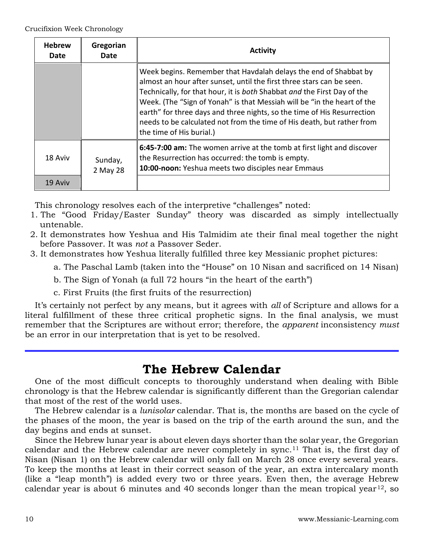| <b>Hebrew</b><br>Date | Gregorian<br>Date   | <b>Activity</b>                                                                                                                                                                                                                                                                                                                                                                                                                                                                  |  |
|-----------------------|---------------------|----------------------------------------------------------------------------------------------------------------------------------------------------------------------------------------------------------------------------------------------------------------------------------------------------------------------------------------------------------------------------------------------------------------------------------------------------------------------------------|--|
|                       |                     | Week begins. Remember that Havdalah delays the end of Shabbat by<br>almost an hour after sunset, until the first three stars can be seen.<br>Technically, for that hour, it is both Shabbat and the First Day of the<br>Week. (The "Sign of Yonah" is that Messiah will be "in the heart of the<br>earth" for three days and three nights, so the time of His Resurrection<br>needs to be calculated not from the time of His death, but rather from<br>the time of His burial.) |  |
| 18 Aviv               | Sunday,<br>2 May 28 | 6:45-7:00 am: The women arrive at the tomb at first light and discover<br>the Resurrection has occurred: the tomb is empty.<br>10:00-noon: Yeshua meets two disciples near Emmaus                                                                                                                                                                                                                                                                                                |  |
| 19 Aviv               |                     |                                                                                                                                                                                                                                                                                                                                                                                                                                                                                  |  |

This chronology resolves each of the interpretive "challenges" noted:

- 1. The "Good Friday/Easter Sunday" theory was discarded as simply intellectually untenable.
- 2. It demonstrates how Yeshua and His Talmidim ate their final meal together the night before Passover. It was *not* a Passover Seder.
- 3. It demonstrates how Yeshua literally fulfilled three key Messianic prophet pictures:
	- a. The Paschal Lamb (taken into the "House" on 10 Nisan and sacrificed on 14 Nisan)
	- b. The Sign of Yonah (a full 72 hours "in the heart of the earth")
	- c. First Fruits (the first fruits of the resurrection)

It's certainly not perfect by any means, but it agrees with *all* of Scripture and allows for a literal fulfillment of these three critical prophetic signs. In the final analysis, we must remember that the Scriptures are without error; therefore, the *apparent* inconsistency *must* be an error in our interpretation that is yet to be resolved.

# **The Hebrew Calendar**

One of the most difficult concepts to thoroughly understand when dealing with Bible chronology is that the Hebrew calendar is significantly different than the Gregorian calendar that most of the rest of the world uses.

The Hebrew calendar is a *lunisolar* calendar. That is, the months are based on the cycle of the phases of the moon, the year is based on the trip of the earth around the sun, and the day begins and ends at sunset.

Since the Hebrew lunar year is about eleven days shorter than the solar year, the Gregorian calendar and the Hebrew calendar are never completely in sync.<sup>11</sup> That is, the first day of Nisan (Nisan 1) on the Hebrew calendar will only fall on March 28 once every several years. To keep the months at least in their correct season of the year, an extra intercalary month (like a "leap month") is added every two or three years. Even then, the average Hebrew calendar year is about 6 minutes and 40 seconds longer than the mean tropical year<sup>12</sup>, so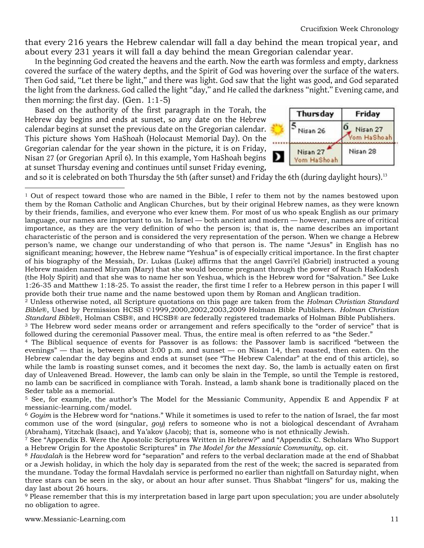that every 216 years the Hebrew calendar will fall a day behind the mean tropical year, and about every 231 years it will fall a day behind the mean Gregorian calendar year.

In the beginning God created the heavens and the earth. Now the earth was formless and empty, darkness covered the surface of the watery depths, and the Spirit of God was hovering over the surface of the waters. Then God said, "Let there be light," and there was light. God saw that the light was good, and God separated the light from the darkness. God called the light "day," and He called the darkness "night." Evening came, and then morning: the first day. (Gen. 1:1-5)

Based on the authority of the first paragraph in the Torah, the Hebrew day begins and ends at sunset, so any date on the Hebrew calendar begins at sunset the previous date on the Gregorian calendar. This picture shows Yom HaShoah (Holocaust Memorial Day). On the Gregorian calendar for the year shown in the picture, it is on Friday, Nisan 27 (or Gregorian April 6). In this example, Yom HaShoah begins at sunset Thursday evening and continues until sunset Friday evening,



and so it is celebrated on both Thursday the 5th (after sunset) and Friday the 6th (during daylight hours).<sup>13</sup>

<sup>1</sup> Out of respect toward those who are named in the Bible, I refer to them not by the names bestowed upon them by the Roman Catholic and Anglican Churches, but by their original Hebrew names, as they were known by their friends, families, and everyone who ever knew them. For most of us who speak English as our primary language, our names are important to us. In Israel — both ancient and modern — however, names are of critical importance, as they are the very definition of who the person is; that is, the name describes an important characteristic of the person and is considered the very representation of the person. When we change a Hebrew person's name, we change our understanding of who that person is. The name "Jesus" in English has no significant meaning; however, the Hebrew name "Yeshua" is of especially critical importance. In the first chapter of his biography of the Messiah, Dr. Lukas (Luke) affirms that the angel Gavri'el (Gabriel) instructed a young Hebrew maiden named Miryam (Mary) that she would become pregnant through the power of Ruach HaKodesh (the Holy Spirit) and that she was to name her son Yeshua, which is the Hebrew word for "Salvation." See Luke 1:26-35 and Matthew 1:18-25. To assist the reader, the first time I refer to a Hebrew person in this paper I will provide both their true name and the name bestowed upon them by Roman and Anglican tradition.

<sup>2</sup> Unless otherwise noted, all Scripture quotations on this page are taken from the *Holman Christian Standard Bible*®, Used by Permission HCSB ©1999,2000,2002,2003,2009 Holman Bible Publishers. *Holman Christian Standard Bible*®, Holman CSB®, and HCSB® are federally registered trademarks of Holman Bible Publishers. <sup>3</sup> The Hebrew word seder means order or arrangement and refers specifically to the "order of service" that is

followed during the ceremonial Passover meal. Thus, the entire meal is often referred to as "the Seder."

<sup>4</sup> The Biblical sequence of events for Passover is as follows: the Passover lamb is sacrificed "between the evenings" — that is, between about 3:00 p.m. and sunset — on Nisan 14, then roasted, then eaten. On the Hebrew calendar the day begins and ends at sunset (see "The Hebrew Calendar" at the end of this article), so while the lamb is roasting sunset comes, and it becomes the next day. So, the lamb is actually eaten on first day of Unleavened Bread. However, the lamb can only be slain in the Temple, so until the Temple is restored, no lamb can be sacrificed in compliance with Torah. Instead, a lamb shank bone is traditionally placed on the Seder table as a memorial.

<sup>5</sup> See, for example, the author's The Model for the Messianic Community, Appendix E and Appendix F at messianic-learning.com/model.

<sup>6</sup> *Goyim* is the Hebrew word for "nations." While it sometimes is used to refer to the nation of Israel, the far most common use of the word (singular, *goy*) refers to someone who is not a biological descendant of Avraham (Abraham), Yitzchak (Isaac), and Ya'akov (Jacob); that is, someone who is not ethnically Jewish.

<sup>7</sup> See "Appendix B. Were the Apostolic Scriptures Written in Hebrew?" and "Appendix C. Scholars Who Support a Hebrew Origin for the Apostolic Scriptures" in *The Model for the Messianic Community*, op. cit.

<sup>8</sup> *Havdalah* is the Hebrew word for "separation" and refers to the verbal declaration made at the end of Shabbat or a Jewish holiday, in which the holy day is separated from the rest of the week; the sacred is separated from the mundane. Today the formal Havdalah service is performed no earlier than nightfall on Saturday night, when three stars can be seen in the sky, or about an hour after sunset. Thus Shabbat "lingers" for us, making the day last about 26 hours.

<sup>9</sup> Please remember that this is my interpretation based in large part upon speculation; you are under absolutely no obligation to agree.